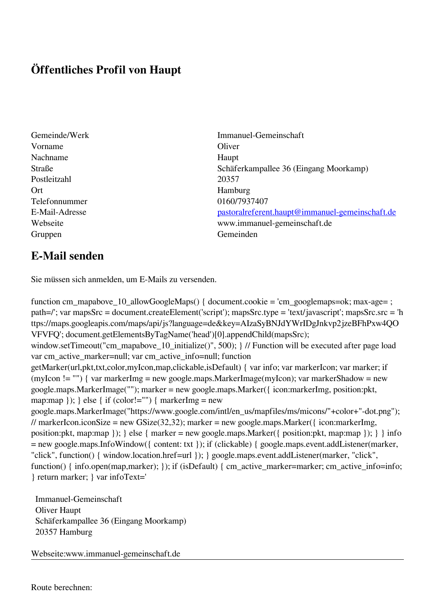## **Öffentliches Profil von Haupt**

- Vorname Oliver Nachname Haupt Postleitzahl 20357 Ort Hamburg Telefonnummer 0160/7937407 Gruppen Gemeinden Gemeinden Gemeinden Gemeinden Gemeinden Gemeinden Gemeinden Gemeinden Gemeinden Gemeinden G
- Gemeinde/Werk Immanuel-Gemeinschaft Straße Schäferkampallee 36 (Eingang Moorkamp) E-Mail-Adresse [pastoralreferent.haupt@immanuel-gemeinschaft.de](mailto:pastoralreferent.haupt@immanuel-gemeinschaft.de) Webseite www.immanuel-gemeinschaft.de

## **E-Mail senden**

Sie müssen sich anmelden, um E-Mails zu versenden.

function cm\_mapabove\_10\_allowGoogleMaps() { document.cookie = 'cm\_googlemaps=ok; max-age= ; path=/'; var mapsSrc = document.createElement('script'); mapsSrc.type = 'text/javascript'; mapsSrc.src = 'h ttps://maps.googleapis.com/maps/api/js?language=de&key=AIzaSyBNJdYWrIDgJnkvp2jzeBFhPxw4QO VFVFQ'; document.getElementsByTagName('head')[0].appendChild(mapsSrc); window.setTimeout("cm\_mapabove\_10\_initialize()", 500); } // Function will be executed after page load var cm\_active\_marker=null; var cm\_active\_info=null; function getMarker(url,pkt,txt,color,myIcon,map,clickable,isDefault) { var info; var markerIcon; var marker; if (myIcon != "") { var markerImg = new google.maps.MarkerImage(myIcon); var markerShadow = new google.maps.MarkerImage(""); marker = new google.maps.Marker({ icon:markerImg, position:pkt, map:map  $\}$ ;  $\}$  else  $\{$  if (color!="")  $\{$  markerImg = new google.maps.MarkerImage("https://www.google.com/intl/en\_us/mapfiles/ms/micons/"+color+"-dot.png"); // markerIcon.iconSize = new GSize(32,32); marker = new google.maps.Marker( $\{$  icon:markerImg, position:pkt, map:map }); } else { marker = new google.maps.Marker({ position:pkt, map:map }); } } info = new google.maps.InfoWindow({ content: txt }); if (clickable) { google.maps.event.addListener(marker, "click", function() { window.location.href=url }); } google.maps.event.addListener(marker, "click", function() { info.open(map,marker); }); if (isDefault) { cm\_active\_marker=marker; cm\_active\_info=info; } return marker; } var infoText='

 Immanuel-Gemeinschaft Oliver Haupt Schäferkampallee 36 (Eingang Moorkamp) 20357 Hamburg

Webseite:www.immanuel-gemeinschaft.de